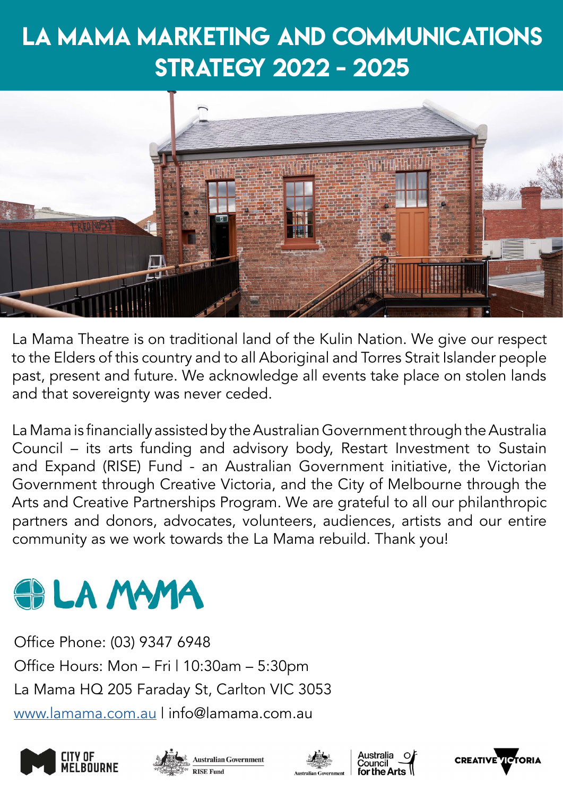# LA MAMA Marketing and Communications Strategy 2022 - 2025



La Mama Theatre is on traditional land of the Kulin Nation. We give our respect to the Elders of this country and to all Aboriginal and Torres Strait Islander people past, present and future. We acknowledge all events take place on stolen lands and that sovereignty was never ceded.

La Mama is financially assisted by the Australian Government through the Australia Council – its arts funding and advisory body, Restart Investment to Sustain and Expand (RISE) Fund - an Australian Government initiative, the Victorian Government through Creative Victoria, and the City of Melbourne through the Arts and Creative Partnerships Program. We are grateful to all our philanthropic partners and donors, advocates, volunteers, audiences, artists and our entire community as we work towards the La Mama rebuild. Thank you!

# **OD LA MAMA**

Office Phone: (03) 9347 6948 Office Hours: Mon - Fri | 10:30am - 5:30pm La Mama HQ 205 Faraday St, Carlton VIC 3053 www.lamama.com.au | info@lamama.com.au







Australia<br>Council

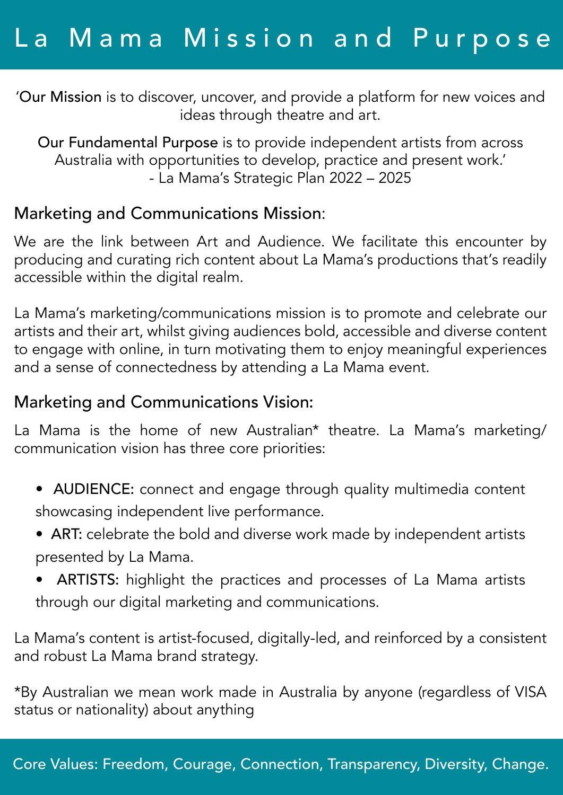'Our Mission is to discover, uncover, and provide a platform for new voices and ideas through theatre and art.

Our Fundamental Purpose is to provide independent artists from across Australia with opportunities to develop, practice and present work.' - La Mama's Strategic Plan 2022 – 2025

#### Marketing and Communications Mission:

We are the link between Art and Audience. We facilitate this encounter by producing and curating rich content about La Mama's productions that's readily accessible within the digital realm.

La Mama's marketing/communications mission is to promote and celebrate our artists and their art, whilst giving audiences bold, accessible and diverse content to engage with online, in turn motivating them to enjoy meaningful experiences and a sense of connectedness by attending a La Mama event.

#### Marketing and Communications Vision:

La Mama is the home of new Australian\* theatre. La Mama's marketing/ communication vision has three core priorities:

- AUDIENCE: connect and engage through quality multimedia content showcasing independent live performance.
- ART: celebrate the bold and diverse work made by independent artists presented by La Mama.
- ARTISTS: highlight the practices and processes of La Mama artists through our digital marketing and communications.

La Mama's content is artist-focused, digitally-led, and reinforced by a consistent and robust La Mama brand strategy.

\*By Australian we mean work made in Australia by anyone (regardless of VISA status or nationality) about anything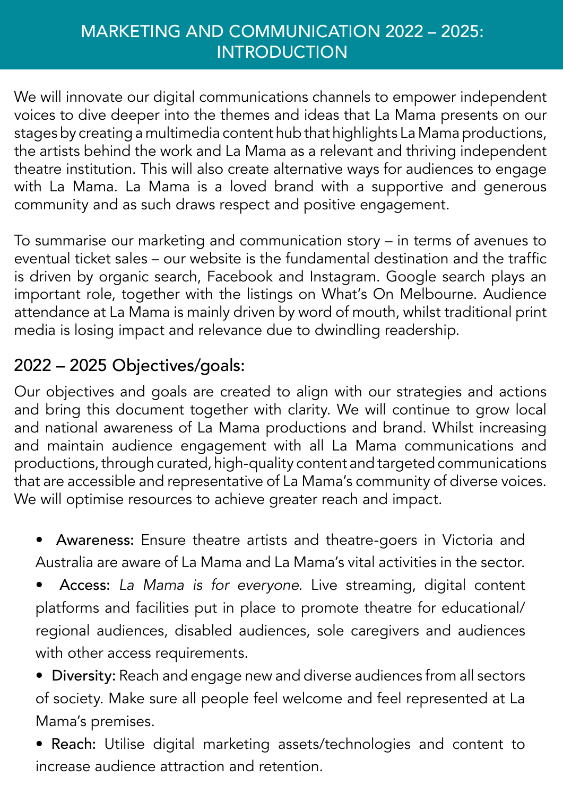### MARKETING AND COMMUNICATION 2022 – 2025: **INTRODUCTION**

We will innovate our digital communications channels to empower independent voices to dive deeper into the themes and ideas that La Mama presents on our stages by creating a multimedia content hub that highlights La Mama productions, the artists behind the work and La Mama as a relevant and thriving independent theatre institution. This will also create alternative ways for audiences to engage with La Mama. La Mama is a loved brand with a supportive and generous community and as such draws respect and positive engagement.

To summarise our marketing and communication story – in terms of avenues to eventual ticket sales – our website is the fundamental destination and the traffic is driven by organic search, Facebook and Instagram. Google search plays an important role, together with the listings on What's On Melbourne. Audience attendance at La Mama is mainly driven by word of mouth, whilst traditional print media is losing impact and relevance due to dwindling readership.

## 2022 – 2025 Objectives/goals:

Our objectives and goals are created to align with our strategies and actions and bring this document together with clarity. We will continue to grow local and national awareness of La Mama productions and brand. Whilst increasing and maintain audience engagement with all La Mama communications and productions, through curated, high-quality content and targeted communications that are accessible and representative of La Mama's community of diverse voices. We will optimise resources to achieve greater reach and impact.

• Awareness: Ensure theatre artists and theatre-goers in Victoria and Australia are aware of La Mama and La Mama's vital activities in the sector.

• Access: *La Mama is for everyone*. Live streaming, digital content platforms and facilities put in place to promote theatre for educational/ regional audiences, disabled audiences, sole caregivers and audiences with other access requirements.

• Diversity: Reach and engage new and diverse audiences from all sectors of society. Make sure all people feel welcome and feel represented at La Mama's premises.

• Reach: Utilise digital marketing assets/technologies and content to increase audience attraction and retention.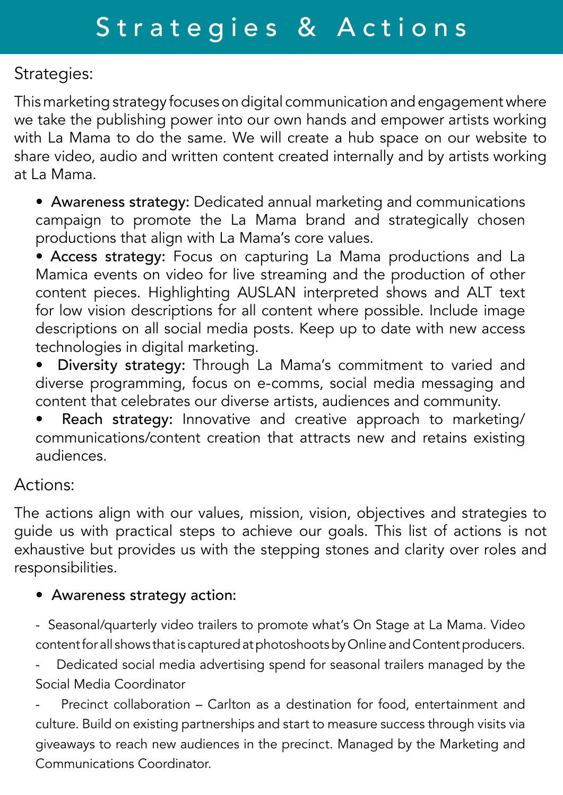Strategies:

This marketing strategy focuses on digital communication and engagement where we take the publishing power into our own hands and empower artists working with La Mama to do the same. We will create a hub space on our website to share video, audio and written content created internally and by artists working at La Mama.

• Awareness strategy: Dedicated annual marketing and communications campaign to promote the La Mama brand and strategically chosen productions that align with La Mama's core values.

• Access strategy: Focus on capturing La Mama productions and La Mamica events on video for live streaming and the production of other content pieces. Highlighting AUSLAN interpreted shows and ALT text for low vision descriptions for all content where possible. Include image descriptions on all social media posts. Keep up to date with new access technologies in digital marketing.

• Diversity strategy: Through La Mama's commitment to varied and diverse programming, focus on e-comms, social media messaging and content that celebrates our diverse artists, audiences and community.

Reach strategy: Innovative and creative approach to marketing/ communications/content creation that attracts new and retains existing audiences.

#### Actions:

The actions align with our values, mission, vision, objectives and strategies to guide us with practical steps to achieve our goals. This list of actions is not exhaustive but provides us with the stepping stones and clarity over roles and responsibilities.

#### • Awareness strategy action:

- Seasonal/quarterly video trailers to promote what's On Stage at La Mama. Video content for all shows that is captured at photoshoots by Online and Content producers.

Dedicated social media advertising spend for seasonal trailers managed by the Social Media Coordinator

Precinct collaboration – Carlton as a destination for food, entertainment and culture. Build on existing partnerships and start to measure success through visits via giveaways to reach new audiences in the precinct. Managed by the Marketing and Communications Coordinator.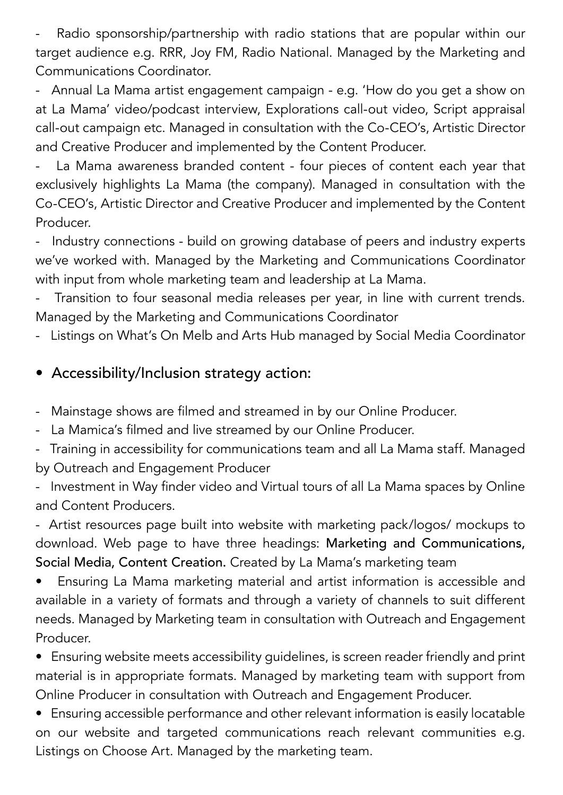Radio sponsorship/partnership with radio stations that are popular within our target audience e.g. RRR, Joy FM, Radio National. Managed by the Marketing and Communications Coordinator.

- Annual La Mama artist engagement campaign - e.g. 'How do you get a show on at La Mama' video/podcast interview, Explorations call-out video, Script appraisal call-out campaign etc. Managed in consultation with the Co-CEO's, Artistic Director and Creative Producer and implemented by the Content Producer.

La Mama awareness branded content - four pieces of content each year that exclusively highlights La Mama (the company). Managed in consultation with the Co-CEO's, Artistic Director and Creative Producer and implemented by the Content Producer.

- Industry connections - build on growing database of peers and industry experts we've worked with. Managed by the Marketing and Communications Coordinator with input from whole marketing team and leadership at La Mama.

Transition to four seasonal media releases per year, in line with current trends. Managed by the Marketing and Communications Coordinator

Listings on What's On Melb and Arts Hub managed by Social Media Coordinator

#### • Accessibility/Inclusion strategy action:

- Mainstage shows are filmed and streamed in by our Online Producer.
- La Mamica's filmed and live streamed by our Online Producer.
- Training in accessibility for communications team and all La Mama staff. Managed by Outreach and Engagement Producer
- Investment in Way finder video and Virtual tours of all La Mama spaces by Online and Content Producers.

- Artist resources page built into website with marketing pack/logos/ mockups to download. Web page to have three headings: Marketing and Communications, Social Media, Content Creation. Created by La Mama's marketing team

• Ensuring La Mama marketing material and artist information is accessible and available in a variety of formats and through a variety of channels to suit different needs. Managed by Marketing team in consultation with Outreach and Engagement Producer.

• Ensuring website meets accessibility guidelines, is screen reader friendly and print material is in appropriate formats. Managed by marketing team with support from Online Producer in consultation with Outreach and Engagement Producer.

• Ensuring accessible performance and other relevant information is easily locatable on our website and targeted communications reach relevant communities e.g. Listings on Choose Art. Managed by the marketing team.